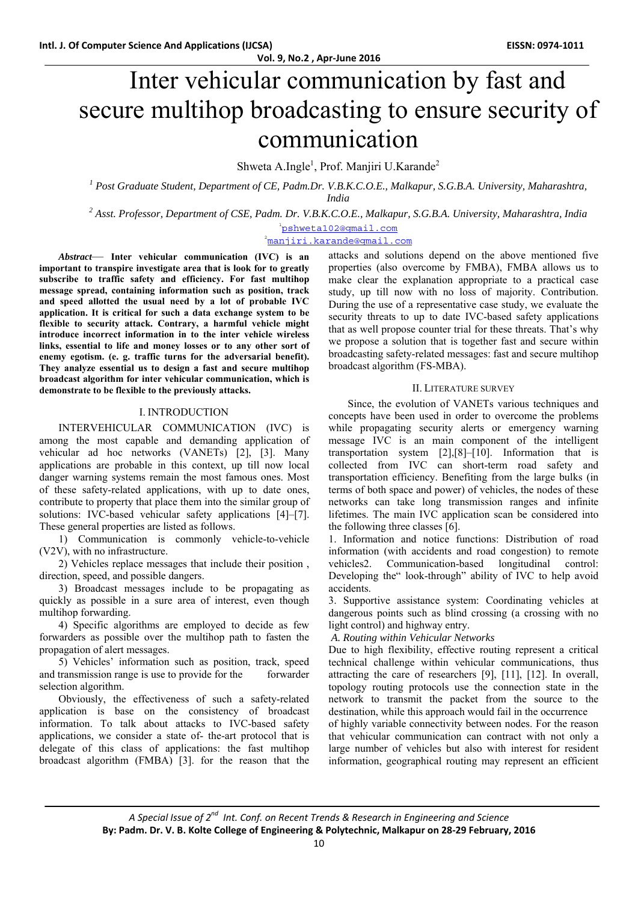# Inter vehicular communication by fast and secure multihop broadcasting to ensure security of communication

Shweta A.Ingle<sup>1</sup>, Prof. Manjiri U.Karande<sup>2</sup>

<sup>1</sup> Post Graduate Student, Department of CE, Padm.Dr. V.B.K.C.O.E., Malkapur, S.G.B.A. University, Maharashtra, *India* 

*2 Asst. Professor, Department of CSE, Padm. Dr. V.B.K.C.O.E., Malkapur, S.G.B.A. University, Maharashtra, India* 

1 pshweta102@gmail.com

2 manjiri.karande@gmail.com

*Abstract*— **Inter vehicular communication (IVC) is an important to transpire investigate area that is look for to greatly subscribe to traffic safety and efficiency. For fast multihop message spread, containing information such as position, track and speed allotted the usual need by a lot of probable IVC application. It is critical for such a data exchange system to be flexible to security attack. Contrary, a harmful vehicle might introduce incorrect information in to the inter vehicle wireless links, essential to life and money losses or to any other sort of enemy egotism. (e. g. traffic turns for the adversarial benefit). They analyze essential us to design a fast and secure multihop broadcast algorithm for inter vehicular communication, which is demonstrate to be flexible to the previously attacks.** 

#### I. INTRODUCTION

#### INTERVEHICULAR COMMUNICATION (IVC) is

among the most capable and demanding application of vehicular ad hoc networks (VANETs) [2], [3]. Many applications are probable in this context, up till now local danger warning systems remain the most famous ones. Most of these safety-related applications, with up to date ones, contribute to property that place them into the similar group of solutions: IVC-based vehicular safety applications [4]–[7]. These general properties are listed as follows.

1) Communication is commonly vehicle-to-vehicle (V2V), with no infrastructure.

2) Vehicles replace messages that include their position , direction, speed, and possible dangers.

3) Broadcast messages include to be propagating as quickly as possible in a sure area of interest, even though multihop forwarding.

4) Specific algorithms are employed to decide as few forwarders as possible over the multihop path to fasten the propagation of alert messages.

5) Vehicles' information such as position, track, speed and transmission range is use to provide for the forwarder selection algorithm.

Obviously, the effectiveness of such a safety-related application is base on the consistency of broadcast information. To talk about attacks to IVC-based safety applications, we consider a state of- the-art protocol that is delegate of this class of applications: the fast multihop broadcast algorithm (FMBA) [3]. for the reason that the

attacks and solutions depend on the above mentioned five properties (also overcome by FMBA), FMBA allows us to make clear the explanation appropriate to a practical case study, up till now with no loss of majority. Contribution. During the use of a representative case study, we evaluate the security threats to up to date IVC-based safety applications that as well propose counter trial for these threats. That's why we propose a solution that is together fast and secure within broadcasting safety-related messages: fast and secure multihop broadcast algorithm (FS-MBA).

### II. LITERATURE SURVEY

Since, the evolution of VANETs various techniques and concepts have been used in order to overcome the problems while propagating security alerts or emergency warning message IVC is an main component of the intelligent transportation system [2],[8]–[10]. Information that is collected from IVC can short-term road safety and transportation efficiency. Benefiting from the large bulks (in terms of both space and power) of vehicles, the nodes of these networks can take long transmission ranges and infinite lifetimes. The main IVC application scan be considered into the following three classes [6].

1. Information and notice functions: Distribution of road information (with accidents and road congestion) to remote vehicles2. Communication-based longitudinal control: Developing the" look-through" ability of IVC to help avoid accidents.

3. Supportive assistance system: Coordinating vehicles at dangerous points such as blind crossing (a crossing with no light control) and highway entry.

 *A. Routing within Vehicular Networks* 

Due to high flexibility, effective routing represent a critical technical challenge within vehicular communications, thus attracting the care of researchers [9], [11], [12]. In overall, topology routing protocols use the connection state in the network to transmit the packet from the source to the destination, while this approach would fail in the occurrence

of highly variable connectivity between nodes. For the reason that vehicular communication can contract with not only a large number of vehicles but also with interest for resident information, geographical routing may represent an efficient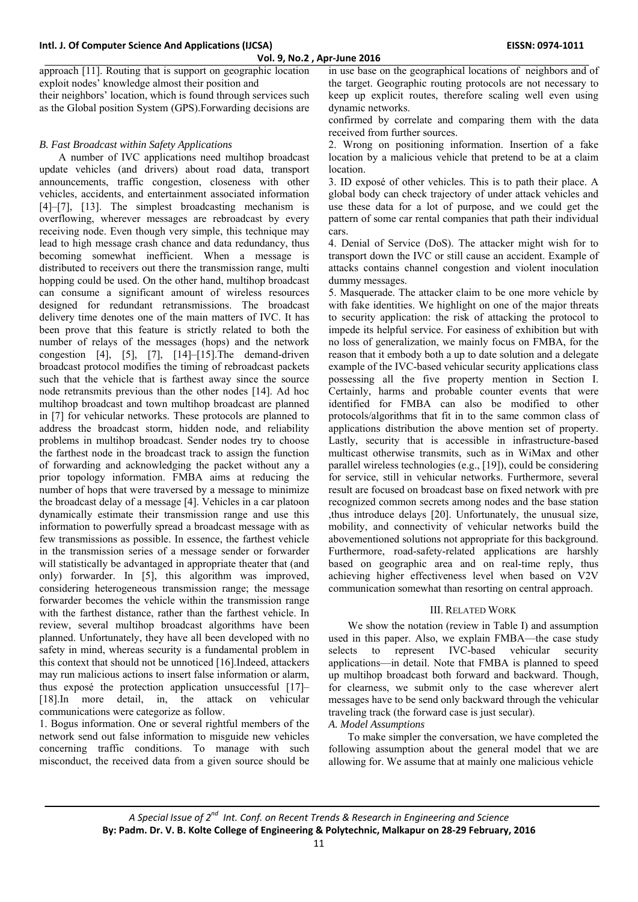approach [11]. Routing that is support on geographic location exploit nodes' knowledge almost their position and their neighbors' location, which is found through services such

as the Global position System (GPS).Forwarding decisions are

## *B. Fast Broadcast within Safety Applications*

A number of IVC applications need multihop broadcast update vehicles (and drivers) about road data, transport announcements, traffic congestion, closeness with other vehicles, accidents, and entertainment associated information [4]–[7], [13]. The simplest broadcasting mechanism is overflowing, wherever messages are rebroadcast by every receiving node. Even though very simple, this technique may lead to high message crash chance and data redundancy, thus becoming somewhat inefficient. When a message is distributed to receivers out there the transmission range, multi hopping could be used. On the other hand, multihop broadcast can consume a significant amount of wireless resources designed for redundant retransmissions. The broadcast delivery time denotes one of the main matters of IVC. It has been prove that this feature is strictly related to both the number of relays of the messages (hops) and the network congestion [4], [5], [7], [14]–[15].The demand-driven broadcast protocol modifies the timing of rebroadcast packets such that the vehicle that is farthest away since the source node retransmits previous than the other nodes [14]. Ad hoc multihop broadcast and town multihop broadcast are planned in [7] for vehicular networks. These protocols are planned to address the broadcast storm, hidden node, and reliability problems in multihop broadcast. Sender nodes try to choose the farthest node in the broadcast track to assign the function of forwarding and acknowledging the packet without any a prior topology information. FMBA aims at reducing the number of hops that were traversed by a message to minimize the broadcast delay of a message [4]. Vehicles in a car platoon dynamically estimate their transmission range and use this information to powerfully spread a broadcast message with as few transmissions as possible. In essence, the farthest vehicle in the transmission series of a message sender or forwarder will statistically be advantaged in appropriate theater that (and only) forwarder. In [5], this algorithm was improved, considering heterogeneous transmission range; the message forwarder becomes the vehicle within the transmission range with the farthest distance, rather than the farthest vehicle. In review, several multihop broadcast algorithms have been planned. Unfortunately, they have all been developed with no safety in mind, whereas security is a fundamental problem in this context that should not be unnoticed [16].Indeed, attackers may run malicious actions to insert false information or alarm, thus exposé the protection application unsuccessful [17]– [18].In more detail, in, the attack on vehicular communications were categorize as follow.

1. Bogus information. One or several rightful members of the network send out false information to misguide new vehicles concerning traffic conditions. To manage with such misconduct, the received data from a given source should be

in use base on the geographical locations of neighbors and of the target. Geographic routing protocols are not necessary to keep up explicit routes, therefore scaling well even using dynamic networks.

confirmed by correlate and comparing them with the data received from further sources.

2. Wrong on positioning information. Insertion of a fake location by a malicious vehicle that pretend to be at a claim **location** 

3. ID exposé of other vehicles. This is to path their place. A global body can check trajectory of under attack vehicles and use these data for a lot of purpose, and we could get the pattern of some car rental companies that path their individual cars.

4. Denial of Service (DoS). The attacker might wish for to transport down the IVC or still cause an accident. Example of attacks contains channel congestion and violent inoculation dummy messages.

5. Masquerade. The attacker claim to be one more vehicle by with fake identities. We highlight on one of the major threats to security application: the risk of attacking the protocol to impede its helpful service. For easiness of exhibition but with no loss of generalization, we mainly focus on FMBA, for the reason that it embody both a up to date solution and a delegate example of the IVC-based vehicular security applications class possessing all the five property mention in Section I. Certainly, harms and probable counter events that were identified for FMBA can also be modified to other protocols/algorithms that fit in to the same common class of applications distribution the above mention set of property. Lastly, security that is accessible in infrastructure-based multicast otherwise transmits, such as in WiMax and other parallel wireless technologies (e.g., [19]), could be considering for service, still in vehicular networks. Furthermore, several result are focused on broadcast base on fixed network with pre recognized common secrets among nodes and the base station ,thus introduce delays [20]. Unfortunately, the unusual size, mobility, and connectivity of vehicular networks build the abovementioned solutions not appropriate for this background. Furthermore, road-safety-related applications are harshly based on geographic area and on real-time reply, thus achieving higher effectiveness level when based on V2V communication somewhat than resorting on central approach.

#### III. RELATED WORK

We show the notation (review in Table I) and assumption used in this paper. Also, we explain FMBA—the case study selects to represent IVC-based vehicular security applications—in detail. Note that FMBA is planned to speed up multihop broadcast both forward and backward. Though, for clearness, we submit only to the case wherever alert messages have to be send only backward through the vehicular traveling track (the forward case is just secular). *A. Model Assumptions* 

To make simpler the conversation, we have completed the following assumption about the general model that we are allowing for. We assume that at mainly one malicious vehicle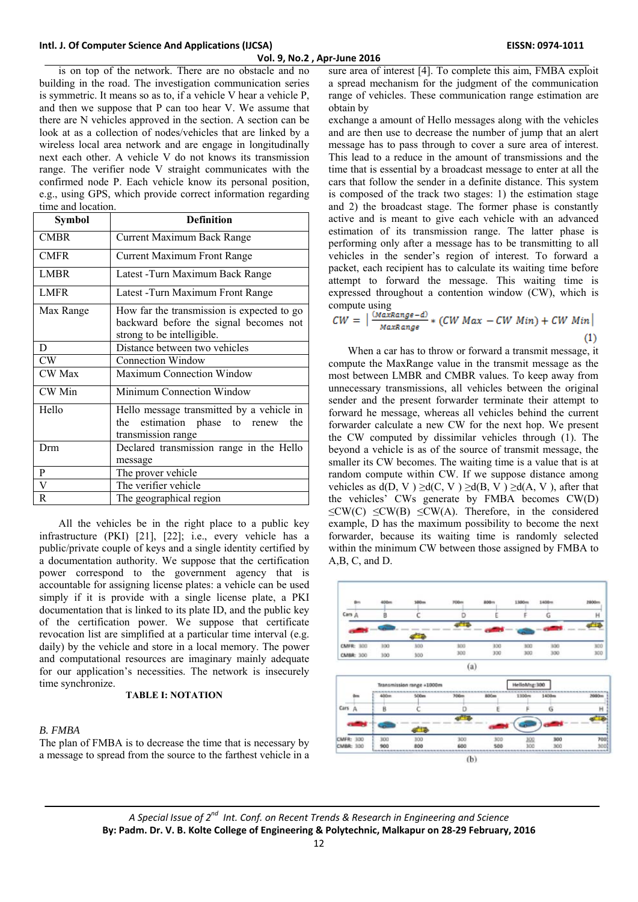is on top of the network. There are no obstacle and no building in the road. The investigation communication series is symmetric. It means so as to, if a vehicle V hear a vehicle P, and then we suppose that P can too hear V. We assume that there are N vehicles approved in the section. A section can be look at as a collection of nodes/vehicles that are linked by a wireless local area network and are engage in longitudinally next each other. A vehicle V do not knows its transmission range. The verifier node V straight communicates with the confirmed node P. Each vehicle know its personal position, e.g., using GPS, which provide correct information regarding time and location.

| Symbol        | <b>Definition</b>                                                                                                  |  |  |
|---------------|--------------------------------------------------------------------------------------------------------------------|--|--|
| <b>CMBR</b>   | Current Maximum Back Range                                                                                         |  |  |
| <b>CMFR</b>   | <b>Current Maximum Front Range</b>                                                                                 |  |  |
| <b>LMBR</b>   | Latest - Turn Maximum Back Range                                                                                   |  |  |
| <b>LMFR</b>   | Latest - Turn Maximum Front Range                                                                                  |  |  |
| Max Range     | How far the transmission is expected to go<br>backward before the signal becomes not<br>strong to be intelligible. |  |  |
| D             | Distance between two vehicles                                                                                      |  |  |
| CW            | Connection Window                                                                                                  |  |  |
| <b>CW</b> Max | <b>Maximum Connection Window</b>                                                                                   |  |  |
| CW Min        | Minimum Connection Window                                                                                          |  |  |
| Hello         | Hello message transmitted by a vehicle in<br>estimation phase to renew the<br>the<br>transmission range            |  |  |
| Drm           | Declared transmission range in the Hello<br>message                                                                |  |  |
| P             | The prover vehicle                                                                                                 |  |  |
| V             | The verifier vehicle                                                                                               |  |  |
| R             | The geographical region                                                                                            |  |  |

All the vehicles be in the right place to a public key infrastructure (PKI) [21], [22]; i.e., every vehicle has a public/private couple of keys and a single identity certified by a documentation authority. We suppose that the certification power correspond to the government agency that is accountable for assigning license plates: a vehicle can be used simply if it is provide with a single license plate, a PKI documentation that is linked to its plate ID, and the public key of the certification power. We suppose that certificate revocation list are simplified at a particular time interval (e.g. daily) by the vehicle and store in a local memory. The power and computational resources are imaginary mainly adequate for our application's necessities. The network is insecurely time synchronize.

#### **TABLE I: NOTATION**

#### *B. FMBA*

The plan of FMBA is to decrease the time that is necessary by a message to spread from the source to the farthest vehicle in a

sure area of interest [4]. To complete this aim, FMBA exploit a spread mechanism for the judgment of the communication range of vehicles. These communication range estimation are obtain by

exchange a amount of Hello messages along with the vehicles and are then use to decrease the number of jump that an alert message has to pass through to cover a sure area of interest. This lead to a reduce in the amount of transmissions and the time that is essential by a broadcast message to enter at all the cars that follow the sender in a definite distance. This system is composed of the track two stages: 1) the estimation stage and 2) the broadcast stage. The former phase is constantly active and is meant to give each vehicle with an advanced estimation of its transmission range. The latter phase is performing only after a message has to be transmitting to all vehicles in the sender's region of interest. To forward a packet, each recipient has to calculate its waiting time before attempt to forward the message. This waiting time is expressed throughout a contention window (CW), which is compute using

$$
CW = \left| \frac{(MaxRange - d)}{MaxRange} * (CW Max - CW Min) + CW Min \right|
$$
\n(1)

When a car has to throw or forward a transmit message, it compute the MaxRange value in the transmit message as the most between LMBR and CMBR values. To keep away from unnecessary transmissions, all vehicles between the original sender and the present forwarder terminate their attempt to forward he message, whereas all vehicles behind the current forwarder calculate a new CW for the next hop. We present the CW computed by dissimilar vehicles through (1). The beyond a vehicle is as of the source of transmit message, the smaller its CW becomes. The waiting time is a value that is at random compute within CW. If we suppose distance among vehicles as  $d(D, V) \ge d(C, V) \ge d(B, V) \ge d(A, V)$ , after that the vehicles' CWs generate by FMBA becomes CW(D)  $\leq$ CW(C)  $\leq$ CW(B)  $\leq$ CW(A). Therefore, in the considered example, D has the maximum possibility to become the next forwarder, because its waiting time is randomly selected within the minimum CW between those assigned by FMBA to A,B, C, and D.





*A Special Issue of 2nd Int. Conf. on Recent Trends & Research in Engineering and Science* **By: Padm. Dr. V. B. Kolte College of Engineering & Polytechnic, Malkapur on 28‐29 February, 2016**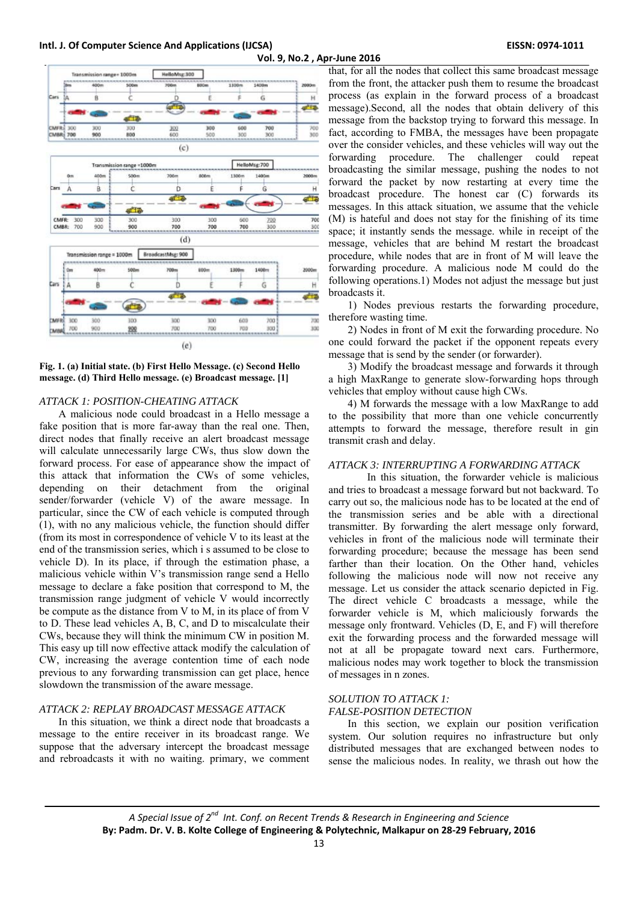

**Fig. 1. (a) Initial state. (b) First Hello Message. (c) Second Hello message. (d) Third Hello message. (e) Broadcast message. [1]** 

#### *ATTACK 1: POSITION-CHEATING ATTACK*

A malicious node could broadcast in a Hello message a fake position that is more far-away than the real one. Then, direct nodes that finally receive an alert broadcast message will calculate unnecessarily large CWs, thus slow down the forward process. For ease of appearance show the impact of this attack that information the CWs of some vehicles, depending on their detachment from the original sender/forwarder (vehicle V) of the aware message. In particular, since the CW of each vehicle is computed through (1), with no any malicious vehicle, the function should differ (from its most in correspondence of vehicle V to its least at the end of the transmission series, which i s assumed to be close to vehicle D). In its place, if through the estimation phase, a malicious vehicle within V's transmission range send a Hello message to declare a fake position that correspond to M, the transmission range judgment of vehicle V would incorrectly be compute as the distance from V to M, in its place of from V to D. These lead vehicles A, B, C, and D to miscalculate their CWs, because they will think the minimum CW in position M. This easy up till now effective attack modify the calculation of CW, increasing the average contention time of each node previous to any forwarding transmission can get place, hence slowdown the transmission of the aware message.

## *ATTACK 2: REPLAY BROADCAST MESSAGE ATTACK*

In this situation, we think a direct node that broadcasts a message to the entire receiver in its broadcast range. We suppose that the adversary intercept the broadcast message and rebroadcasts it with no waiting. primary, we comment

that, for all the nodes that collect this same broadcast message from the front, the attacker push them to resume the broadcast process (as explain in the forward process of a broadcast message).Second, all the nodes that obtain delivery of this message from the backstop trying to forward this message. In fact, according to FMBA, the messages have been propagate over the consider vehicles, and these vehicles will way out the forwarding procedure. The challenger could repeat broadcasting the similar message, pushing the nodes to not forward the packet by now restarting at every time the broadcast procedure. The honest car (C) forwards its messages. In this attack situation, we assume that the vehicle (M) is hateful and does not stay for the finishing of its time space; it instantly sends the message. while in receipt of the message, vehicles that are behind M restart the broadcast procedure, while nodes that are in front of M will leave the forwarding procedure. A malicious node M could do the following operations.1) Modes not adjust the message but just broadcasts it.

1) Nodes previous restarts the forwarding procedure, therefore wasting time.

2) Nodes in front of M exit the forwarding procedure. No one could forward the packet if the opponent repeats every message that is send by the sender (or forwarder).

3) Modify the broadcast message and forwards it through a high MaxRange to generate slow-forwarding hops through vehicles that employ without cause high CWs.

4) M forwards the message with a low MaxRange to add to the possibility that more than one vehicle concurrently attempts to forward the message, therefore result in gin transmit crash and delay.

## *ATTACK 3: INTERRUPTING A FORWARDING ATTACK*

In this situation, the forwarder vehicle is malicious and tries to broadcast a message forward but not backward. To carry out so, the malicious node has to be located at the end of the transmission series and be able with a directional transmitter. By forwarding the alert message only forward, vehicles in front of the malicious node will terminate their forwarding procedure; because the message has been send farther than their location. On the Other hand, vehicles following the malicious node will now not receive any message. Let us consider the attack scenario depicted in Fig. The direct vehicle C broadcasts a message, while the forwarder vehicle is M, which maliciously forwards the message only frontward. Vehicles (D, E, and F) will therefore exit the forwarding process and the forwarded message will not at all be propagate toward next cars. Furthermore, malicious nodes may work together to block the transmission of messages in n zones.

## *SOLUTION TO ATTACK 1:*

*FALSE-POSITION DETECTION* 

In this section, we explain our position verification system. Our solution requires no infrastructure but only distributed messages that are exchanged between nodes to sense the malicious nodes. In reality, we thrash out how the

*A Special Issue of 2nd Int. Conf. on Recent Trends & Research in Engineering and Science* **By: Padm. Dr. V. B. Kolte College of Engineering & Polytechnic, Malkapur on 28‐29 February, 2016**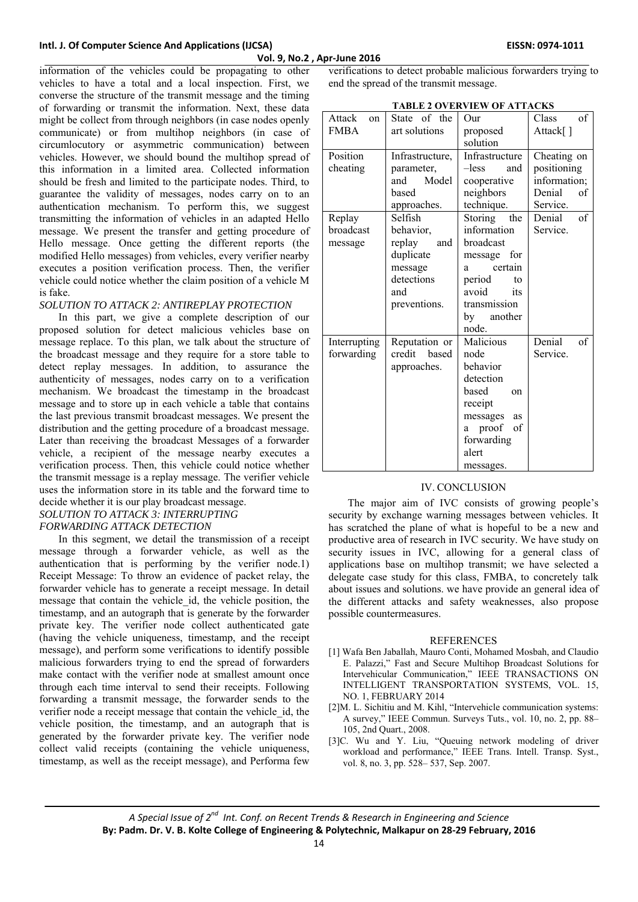information of the vehicles could be propagating to other vehicles to have a total and a local inspection. First, we converse the structure of the transmit message and the timing of forwarding or transmit the information. Next, these data might be collect from through neighbors (in case nodes openly communicate) or from multihop neighbors (in case of circumlocutory or asymmetric communication) between vehicles. However, we should bound the multihop spread of this information in a limited area. Collected information should be fresh and limited to the participate nodes. Third, to guarantee the validity of messages, nodes carry on to an authentication mechanism. To perform this, we suggest transmitting the information of vehicles in an adapted Hello message. We present the transfer and getting procedure of Hello message. Once getting the different reports (the modified Hello messages) from vehicles, every verifier nearby executes a position verification process. Then, the verifier vehicle could notice whether the claim position of a vehicle M is fake.

## *SOLUTION TO ATTACK 2: ANTIREPLAY PROTECTION*

In this part, we give a complete description of our proposed solution for detect malicious vehicles base on message replace. To this plan, we talk about the structure of the broadcast message and they require for a store table to detect replay messages. In addition, to assurance the authenticity of messages, nodes carry on to a verification mechanism. We broadcast the timestamp in the broadcast message and to store up in each vehicle a table that contains the last previous transmit broadcast messages. We present the distribution and the getting procedure of a broadcast message. Later than receiving the broadcast Messages of a forwarder vehicle, a recipient of the message nearby executes a verification process. Then, this vehicle could notice whether the transmit message is a replay message. The verifier vehicle uses the information store in its table and the forward time to decide whether it is our play broadcast message.

## *SOLUTION TO ATTACK 3: INTERRUPTING FORWARDING ATTACK DETECTION*

In this segment, we detail the transmission of a receipt message through a forwarder vehicle, as well as the authentication that is performing by the verifier node.1) Receipt Message: To throw an evidence of packet relay, the forwarder vehicle has to generate a receipt message. In detail message that contain the vehicle id, the vehicle position, the timestamp, and an autograph that is generate by the forwarder private key. The verifier node collect authenticated gate (having the vehicle uniqueness, timestamp, and the receipt message), and perform some verifications to identify possible malicious forwarders trying to end the spread of forwarders make contact with the verifier node at smallest amount once through each time interval to send their receipts. Following forwarding a transmit message, the forwarder sends to the verifier node a receipt message that contain the vehicle\_id, the vehicle position, the timestamp, and an autograph that is generated by the forwarder private key. The verifier node collect valid receipts (containing the vehicle uniqueness, timestamp, as well as the receipt message), and Performa few

verifications to detect probable malicious forwarders trying to end the spread of the transmit message.

**TABLE 2 OVERVIEW OF ATTACKS** 

| Attack<br>on<br><b>FMBA</b>    | State of the<br>art solutions                                                                      | Our<br>proposed<br>solution                                                                                                                                | Class<br>of<br>Attack[]                                                |
|--------------------------------|----------------------------------------------------------------------------------------------------|------------------------------------------------------------------------------------------------------------------------------------------------------------|------------------------------------------------------------------------|
| Position<br>cheating           | Infrastructure,<br>parameter,<br>Model<br>and<br>based<br>approaches.                              | Infrastructure<br>$-less$<br>and<br>cooperative<br>neighbors<br>technique.                                                                                 | Cheating on<br>positioning<br>information;<br>Denial<br>of<br>Service. |
| Replay<br>broadcast<br>message | Selfish<br>behavior,<br>replay<br>and<br>duplicate<br>message<br>detections<br>and<br>preventions. | <b>Storing</b><br>the<br>information<br>broadcast<br>message for<br>certain<br>a<br>period<br>to<br>avoid<br>its<br>transmission<br>another<br>by<br>node. | of<br>Denial<br>Service.                                               |
| Interrupting<br>forwarding     | Reputation or<br>credit<br>based<br>approaches.                                                    | Malicious<br>node<br>behavior<br>detection<br>based<br>on<br>receipt<br>messages<br>as<br>proof<br>of<br>a<br>forwarding<br>alert<br>messages.             | Denial<br>of<br>Service.                                               |

## IV. CONCLUSION

The major aim of IVC consists of growing people's security by exchange warning messages between vehicles. It has scratched the plane of what is hopeful to be a new and productive area of research in IVC security. We have study on security issues in IVC, allowing for a general class of applications base on multihop transmit; we have selected a delegate case study for this class, FMBA, to concretely talk about issues and solutions. we have provide an general idea of the different attacks and safety weaknesses, also propose possible countermeasures.

### **REFERENCES**

- [1] Wafa Ben Jaballah, Mauro Conti, Mohamed Mosbah, and Claudio E. Palazzi," Fast and Secure Multihop Broadcast Solutions for Intervehicular Communication," IEEE TRANSACTIONS ON INTELLIGENT TRANSPORTATION SYSTEMS, VOL. 15, NO. 1, FEBRUARY 2014
- [2]M. L. Sichitiu and M. Kihl, "Intervehicle communication systems: A survey," IEEE Commun. Surveys Tuts., vol. 10, no. 2, pp. 88– 105, 2nd Quart., 2008.
- [3]C. Wu and Y. Liu, "Queuing network modeling of driver workload and performance," IEEE Trans. Intell. Transp. Syst., vol. 8, no. 3, pp. 528– 537, Sep. 2007.

*A Special Issue of 2nd Int. Conf. on Recent Trends & Research in Engineering and Science* **By: Padm. Dr. V. B. Kolte College of Engineering & Polytechnic, Malkapur on 28‐29 February, 2016**